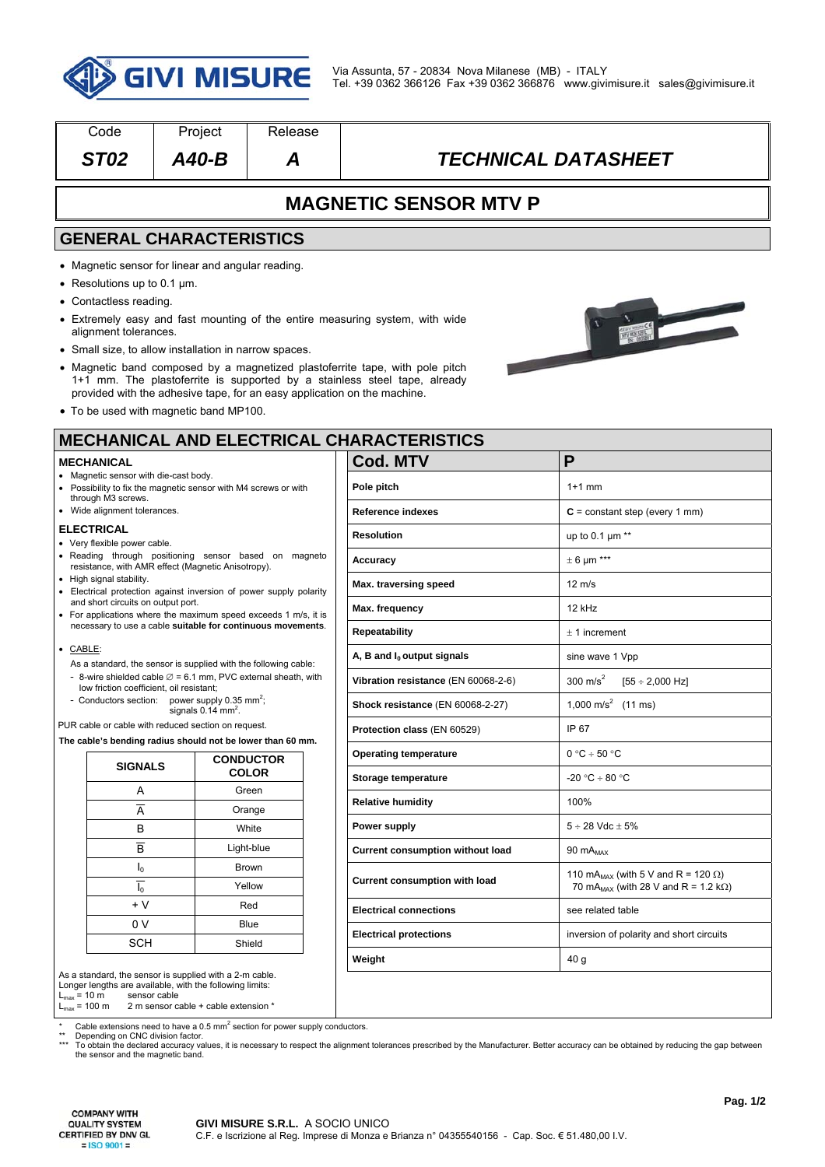

| Code                                                                                                                  | Project                                                                  | Release                          |                                                                                                                                                           |                                                        |  |  |
|-----------------------------------------------------------------------------------------------------------------------|--------------------------------------------------------------------------|----------------------------------|-----------------------------------------------------------------------------------------------------------------------------------------------------------|--------------------------------------------------------|--|--|
| <b>ST02</b>                                                                                                           | $A40-B$                                                                  | Α                                | <b>TECHNICAL DATASHEET</b>                                                                                                                                |                                                        |  |  |
|                                                                                                                       |                                                                          |                                  | <b>MAGNETIC SENSOR MTV P</b>                                                                                                                              |                                                        |  |  |
|                                                                                                                       | <b>GENERAL CHARACTERISTICS</b>                                           |                                  |                                                                                                                                                           |                                                        |  |  |
|                                                                                                                       | • Magnetic sensor for linear and angular reading.                        |                                  |                                                                                                                                                           |                                                        |  |  |
| $\bullet$ Resolutions up to 0.1 µm.                                                                                   |                                                                          |                                  |                                                                                                                                                           |                                                        |  |  |
| • Contactless reading.                                                                                                |                                                                          |                                  |                                                                                                                                                           |                                                        |  |  |
| alignment tolerances.                                                                                                 |                                                                          |                                  | • Extremely easy and fast mounting of the entire measuring system, with wide                                                                              |                                                        |  |  |
|                                                                                                                       | • Small size, to allow installation in narrow spaces.                    |                                  |                                                                                                                                                           |                                                        |  |  |
|                                                                                                                       | provided with the adhesive tape, for an easy application on the machine. |                                  | • Magnetic band composed by a magnetized plastoferrite tape, with pole pitch<br>1+1 mm. The plastoferrite is supported by a stainless steel tape, already |                                                        |  |  |
|                                                                                                                       | • To be used with magnetic band MP100.                                   |                                  |                                                                                                                                                           |                                                        |  |  |
|                                                                                                                       |                                                                          |                                  | <b>MECHANICAL AND ELECTRICAL CHARACTERISTICS</b>                                                                                                          |                                                        |  |  |
| <b>MECHANICAL</b><br>• Magnetic sensor with die-cast body.                                                            |                                                                          |                                  | <b>Cod. MTV</b>                                                                                                                                           | P                                                      |  |  |
|                                                                                                                       | • Possibility to fix the magnetic sensor with M4 screws or with          |                                  | Pole pitch                                                                                                                                                | $1+1$ mm                                               |  |  |
| through M3 screws.<br>• Wide alignment tolerances.                                                                    |                                                                          |                                  | <b>Reference indexes</b>                                                                                                                                  | $C = constant step (every 1 mm)$                       |  |  |
| <b>ELECTRICAL</b>                                                                                                     |                                                                          |                                  | <b>Resolution</b>                                                                                                                                         | up to $0.1 \mu m$ **                                   |  |  |
| • Very flexible power cable.                                                                                          | . Reading through positioning sensor based on magneto                    |                                  | Accuracy                                                                                                                                                  | $\pm$ 6 µm ***                                         |  |  |
| • High signal stability.                                                                                              | resistance, with AMR effect (Magnetic Anisotropy).                       |                                  | Max. traversing speed                                                                                                                                     | $12 \text{ m/s}$                                       |  |  |
| and short circuits on output port.                                                                                    | • Electrical protection against inversion of power supply polarity       |                                  |                                                                                                                                                           | 12 kHz                                                 |  |  |
|                                                                                                                       | • For applications where the maximum speed exceeds 1 m/s, it is          |                                  | Max. frequency                                                                                                                                            |                                                        |  |  |
| necessary to use a cable suitable for continuous movements.                                                           |                                                                          |                                  | <b>Repeatability</b>                                                                                                                                      | $\pm$ 1 increment                                      |  |  |
| $\bullet$ CABLE:<br>As a standard, the sensor is supplied with the following cable:                                   |                                                                          |                                  | A, B and $I_0$ output signals                                                                                                                             | sine wave 1 Vpp                                        |  |  |
| - 8-wire shielded cable $\varnothing$ = 6.1 mm, PVC external sheath, with<br>low friction coefficient, oil resistant; |                                                                          |                                  | Vibration resistance (EN 60068-2-6)                                                                                                                       | 300 m/s <sup>2</sup><br>$[55 \div 2,000$ Hz]           |  |  |
| - Conductors section: power supply 0.35 mm <sup>2</sup> ;<br>signals $0.14$ mm <sup>2</sup> .                         |                                                                          |                                  | Shock resistance (EN 60068-2-27)                                                                                                                          | 1,000 m/s <sup>2</sup> (11 ms)                         |  |  |
| PUR cable or cable with reduced section on request.                                                                   |                                                                          |                                  | Protection class (EN 60529)                                                                                                                               | IP 67                                                  |  |  |
|                                                                                                                       | The cable's bending radius should not be lower than 60 mm.               |                                  | <b>Operating temperature</b>                                                                                                                              | $0 °C \div 50 °C$                                      |  |  |
| <b>SIGNALS</b>                                                                                                        |                                                                          | <b>CONDUCTOR</b><br><b>COLOR</b> | Storage temperature                                                                                                                                       | -20 °C ÷ 80 °C                                         |  |  |
| Α                                                                                                                     |                                                                          | Green                            | <b>Relative humidity</b>                                                                                                                                  | 100%                                                   |  |  |
| $\overline{A}$                                                                                                        |                                                                          | Orange                           |                                                                                                                                                           |                                                        |  |  |
| В                                                                                                                     | White                                                                    |                                  | Power supply                                                                                                                                              | $5 \div 28$ Vdc + 5%                                   |  |  |
|                                                                                                                       | $\overline{\mathsf{B}}$<br>Light-blue                                    |                                  | <b>Current consumption without load</b>                                                                                                                   | 90 $mA_{MAX}$                                          |  |  |
|                                                                                                                       | $\mathsf{I}_0$<br>Brown                                                  |                                  | <b>Current consumption with load</b>                                                                                                                      | 110 mA <sub>MAX</sub> (with 5 V and R = 120 $\Omega$ ) |  |  |
| $\overline{I_0}$<br>Yellow<br>$+V$<br>Red                                                                             |                                                                          |                                  | 70 mA <sub>MAX</sub> (with 28 V and R = 1.2 k $\Omega$ )                                                                                                  |                                                        |  |  |
| 0 V                                                                                                                   |                                                                          | Blue                             | <b>Electrical connections</b>                                                                                                                             | see related table                                      |  |  |
| <b>SCH</b>                                                                                                            |                                                                          | Shield                           | <b>Electrical protections</b>                                                                                                                             | inversion of polarity and short circuits               |  |  |
|                                                                                                                       |                                                                          |                                  |                                                                                                                                                           |                                                        |  |  |

 $L_{\text{max}} = 10 \text{ m}$ <br> $L_{\text{max}} = 100 \text{ m}$  $2 m$  sensor cable + cable extension  $*$ 

\* Cable extensions need to have a 0.5 mm<sup>2</sup> section for power supply conductors.

\*\* Depending on CNC division factor.<br>\*\*\* To obtain the declared accuracy values, it is necessary to respect the alignment tolerances prescribed by the Manufacturer. Better accuracy can be obtained by reducing the gap betw